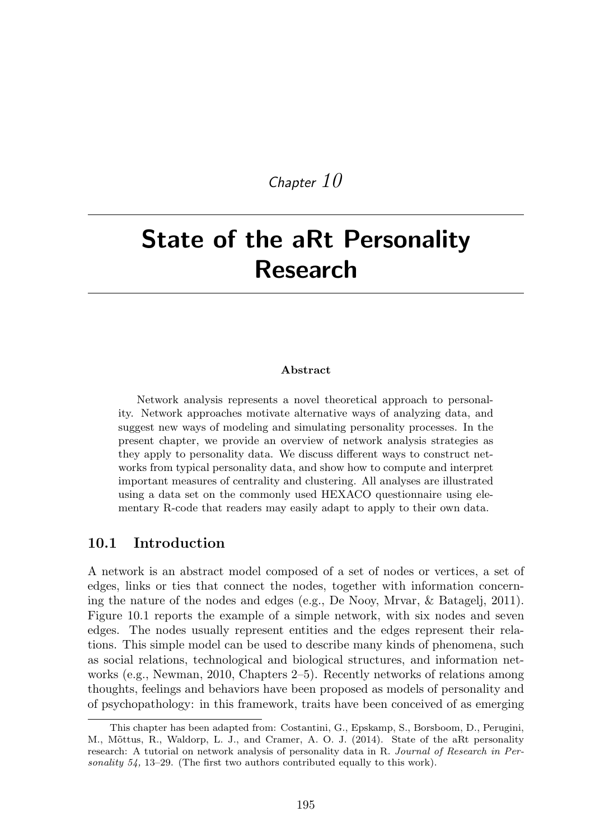*Chapter 10*

# State of the aRt Personality Research

## Abstract

Network analysis represents a novel theoretical approach to personality. Network approaches motivate alternative ways of analyzing data, and suggest new ways of modeling and simulating personality processes. In the present chapter, we provide an overview of network analysis strategies as they apply to personality data. We discuss different ways to construct networks from typical personality data, and show how to compute and interpret important measures of centrality and clustering. All analyses are illustrated using a data set on the commonly used HEXACO questionnaire using elementary R-code that readers may easily adapt to apply to their own data.

## 10.1 Introduction

A network is an abstract model composed of a set of nodes or vertices, a set of edges, links or ties that connect the nodes, together with information concerning the nature of the nodes and edges (e.g., De Nooy, Mrvar, & Batagelj, 2011). Figure 10.1 reports the example of a simple network, with six nodes and seven edges. The nodes usually represent entities and the edges represent their relations. This simple model can be used to describe many kinds of phenomena, such as social relations, technological and biological structures, and information networks (e.g., Newman, 2010, Chapters 2–5). Recently networks of relations among thoughts, feelings and behaviors have been proposed as models of personality and of psychopathology: in this framework, traits have been conceived of as emerging

This chapter has been adapted from: Costantini, G., Epskamp, S., Borsboom, D., Perugini, M., Mõttus, R., Waldorp, L. J., and Cramer, A. O. J. (2014). State of the aRt personality research: A tutorial on network analysis of personality data in R. *Journal of Research in Personality 54,* 13–29. (The first two authors contributed equally to this work).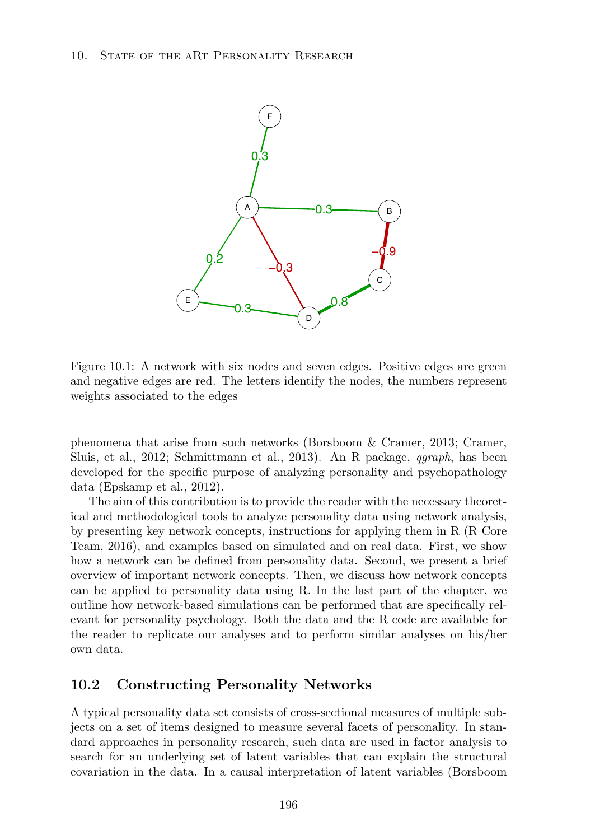

Figure 10.1: A network with six nodes and seven edges. Positive edges are green and negative edges are red. The letters identify the nodes, the numbers represent weights associated to the edges

phenomena that arise from such networks (Borsboom & Cramer, 2013; Cramer, Sluis, et al., 2012; Schmittmann et al., 2013). An R package, *qgraph*, has been developed for the specific purpose of analyzing personality and psychopathology data (Epskamp et al., 2012).

The aim of this contribution is to provide the reader with the necessary theoretical and methodological tools to analyze personality data using network analysis, by presenting key network concepts, instructions for applying them in R (R Core Team, 2016), and examples based on simulated and on real data. First, we show how a network can be defined from personality data. Second, we present a brief overview of important network concepts. Then, we discuss how network concepts can be applied to personality data using R. In the last part of the chapter, we outline how network-based simulations can be performed that are specifically relevant for personality psychology. Both the data and the R code are available for the reader to replicate our analyses and to perform similar analyses on his/her own data.

# 10.2 Constructing Personality Networks

A typical personality data set consists of cross-sectional measures of multiple subjects on a set of items designed to measure several facets of personality. In standard approaches in personality research, such data are used in factor analysis to search for an underlying set of latent variables that can explain the structural covariation in the data. In a causal interpretation of latent variables (Borsboom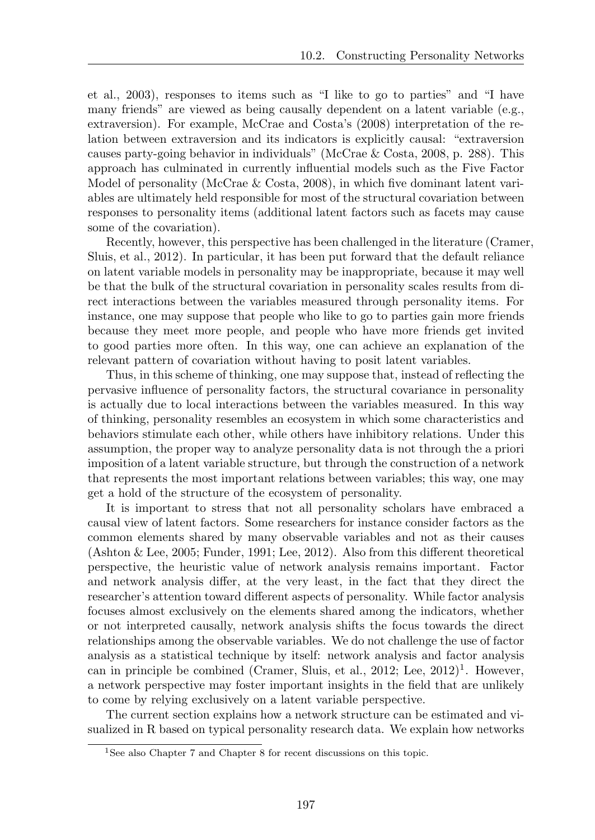et al., 2003), responses to items such as "I like to go to parties" and "I have many friends" are viewed as being causally dependent on a latent variable (e.g., extraversion). For example, McCrae and Costa's (2008) interpretation of the relation between extraversion and its indicators is explicitly causal: "extraversion causes party-going behavior in individuals" (McCrae & Costa, 2008, p. 288). This approach has culminated in currently influential models such as the Five Factor Model of personality (McCrae & Costa, 2008), in which five dominant latent variables are ultimately held responsible for most of the structural covariation between responses to personality items (additional latent factors such as facets may cause some of the covariation).

Recently, however, this perspective has been challenged in the literature (Cramer, Sluis, et al., 2012). In particular, it has been put forward that the default reliance on latent variable models in personality may be inappropriate, because it may well be that the bulk of the structural covariation in personality scales results from direct interactions between the variables measured through personality items. For instance, one may suppose that people who like to go to parties gain more friends because they meet more people, and people who have more friends get invited to good parties more often. In this way, one can achieve an explanation of the relevant pattern of covariation without having to posit latent variables.

Thus, in this scheme of thinking, one may suppose that, instead of reflecting the pervasive influence of personality factors, the structural covariance in personality is actually due to local interactions between the variables measured. In this way of thinking, personality resembles an ecosystem in which some characteristics and behaviors stimulate each other, while others have inhibitory relations. Under this assumption, the proper way to analyze personality data is not through the a priori imposition of a latent variable structure, but through the construction of a network that represents the most important relations between variables; this way, one may get a hold of the structure of the ecosystem of personality.

It is important to stress that not all personality scholars have embraced a causal view of latent factors. Some researchers for instance consider factors as the common elements shared by many observable variables and not as their causes (Ashton & Lee, 2005; Funder, 1991; Lee, 2012). Also from this different theoretical perspective, the heuristic value of network analysis remains important. Factor and network analysis differ, at the very least, in the fact that they direct the researcher's attention toward different aspects of personality. While factor analysis focuses almost exclusively on the elements shared among the indicators, whether or not interpreted causally, network analysis shifts the focus towards the direct relationships among the observable variables. We do not challenge the use of factor analysis as a statistical technique by itself: network analysis and factor analysis can in principle be combined (Cramer, Sluis, et al., 2012; Lee,  $2012$ <sup>1</sup>. However, a network perspective may foster important insights in the field that are unlikely to come by relying exclusively on a latent variable perspective.

The current section explains how a network structure can be estimated and visualized in R based on typical personality research data. We explain how networks

<sup>1</sup>See also Chapter 7 and Chapter 8 for recent discussions on this topic.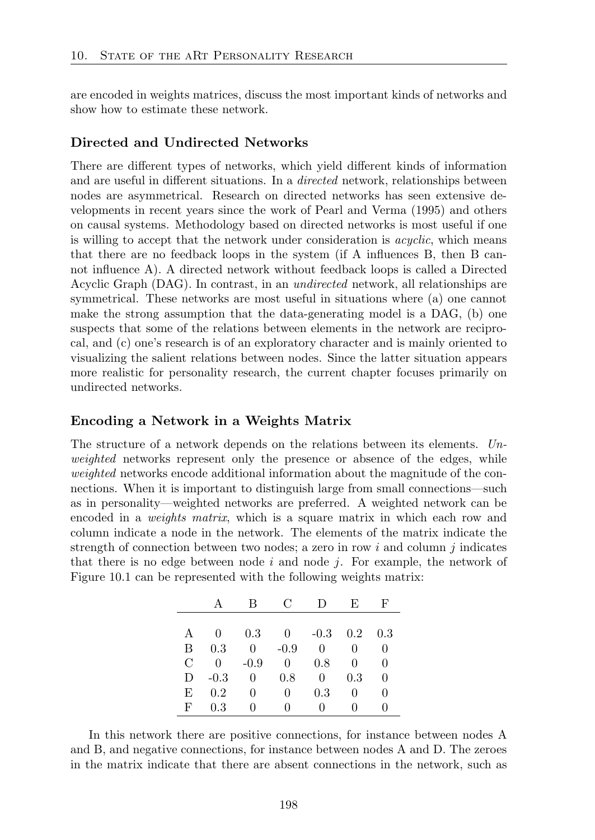are encoded in weights matrices, discuss the most important kinds of networks and show how to estimate these network.

#### Directed and Undirected Networks

There are different types of networks, which yield different kinds of information and are useful in different situations. In a *directed* network, relationships between nodes are asymmetrical. Research on directed networks has seen extensive developments in recent years since the work of Pearl and Verma (1995) and others on causal systems. Methodology based on directed networks is most useful if one is willing to accept that the network under consideration is *acyclic*, which means that there are no feedback loops in the system (if A influences B, then B cannot influence A). A directed network without feedback loops is called a Directed Acyclic Graph (DAG). In contrast, in an *undirected* network, all relationships are symmetrical. These networks are most useful in situations where (a) one cannot make the strong assumption that the data-generating model is a DAG, (b) one suspects that some of the relations between elements in the network are reciprocal, and (c) one's research is of an exploratory character and is mainly oriented to visualizing the salient relations between nodes. Since the latter situation appears more realistic for personality research, the current chapter focuses primarily on undirected networks.

#### Encoding a Network in a Weights Matrix

The structure of a network depends on the relations between its elements. *Unweighted* networks represent only the presence or absence of the edges, while *weighted* networks encode additional information about the magnitude of the connections. When it is important to distinguish large from small connections—such as in personality—weighted networks are preferred. A weighted network can be encoded in a *weights matrix*, which is a square matrix in which each row and column indicate a node in the network. The elements of the matrix indicate the strength of connection between two nodes; a zero in row *i* and column *j* indicates that there is no edge between node *i* and node *j*. For example, the network of Figure 10.1 can be represented with the following weights matrix:

|         |          | В        | $\mathcal{C}_{\mathcal{C}}$ | D        | F.     | F   |
|---------|----------|----------|-----------------------------|----------|--------|-----|
|         |          |          |                             |          |        |     |
| A       | 0        | 0.3      | $\overline{0}$              | $-0.3$   | 0.2    | 0.3 |
| B       | 0.3      | $\theta$ | $-0.9$                      | $\theta$ | 0      | 0   |
| $\rm C$ | $\Omega$ | $-0.9$   | $\theta$                    | 0.8      | 0      | 0   |
| D       | $-0.3$   | 0        | 0.8                         | 0        | 0.3    | 0   |
| E       | 0.2      | 0        | 0                           | 0.3      | 0      | 0   |
| F       | 0.3      | ∩        | ∩                           | 0        | $\cap$ | 0   |

In this network there are positive connections, for instance between nodes A and B, and negative connections, for instance between nodes A and D. The zeroes in the matrix indicate that there are absent connections in the network, such as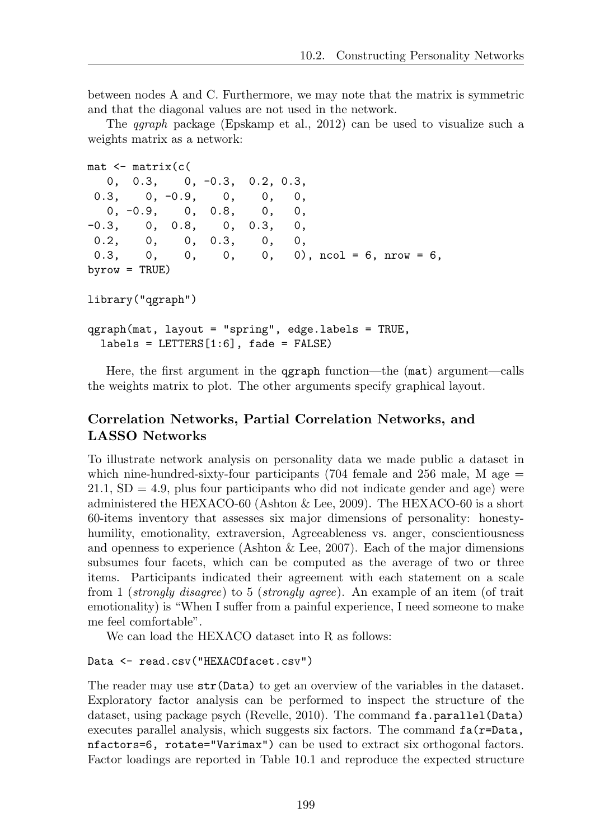between nodes A and C. Furthermore, we may note that the matrix is symmetric and that the diagonal values are not used in the network.

The *qgraph* package (Epskamp et al., 2012) can be used to visualize such a weights matrix as a network:

```
mat <- matrix(c(
  0, 0.3, 0, -0.3, 0.2, 0.3,
0.3, 0, -0.9, 0, 0, 0,
  0, -0.9, 0, 0.8, 0, 0,-0.3, 0, 0.8, 0, 0.3, 0,
0.2, 0, 0, 0.3, 0, 0,
0.3, 0, 0, 0, 0, 0), ncol = 6, nrow = 6,
byrow = TRUE)
library("qgraph")
qgraph(mat, layout = "spring", edge.labels = TRUE,
 labels = LETTERS[1:6], fade = FALSE)
```
Here, the first argument in the qgraph function—the (mat) argument—calls the weights matrix to plot. The other arguments specify graphical layout.

# Correlation Networks, Partial Correlation Networks, and LASSO Networks

To illustrate network analysis on personality data we made public a dataset in which nine-hundred-sixty-four participants  $(704 \text{ female and } 256 \text{ male}, M \text{ age} =$  $21.1, SD = 4.9$ , plus four participants who did not indicate gender and age) were administered the HEXACO-60 (Ashton & Lee, 2009). The HEXACO-60 is a short 60-items inventory that assesses six major dimensions of personality: honestyhumility, emotionality, extraversion, Agreeableness vs. anger, conscientiousness and openness to experience (Ashton  $\&$  Lee, 2007). Each of the major dimensions subsumes four facets, which can be computed as the average of two or three items. Participants indicated their agreement with each statement on a scale from 1 (*strongly disagree*) to 5 (*strongly agree*). An example of an item (of trait emotionality) is "When I suffer from a painful experience, I need someone to make me feel comfortable".

We can load the HEXACO dataset into R as follows:

## Data <- read.csv("HEXACOfacet.csv")

The reader may use  $str(Data)$  to get an overview of the variables in the dataset. Exploratory factor analysis can be performed to inspect the structure of the dataset, using package psych (Revelle, 2010). The command fa.parallel(Data) executes parallel analysis, which suggests six factors. The command fa(r=Data, nfactors=6, rotate="Varimax") can be used to extract six orthogonal factors. Factor loadings are reported in Table 10.1 and reproduce the expected structure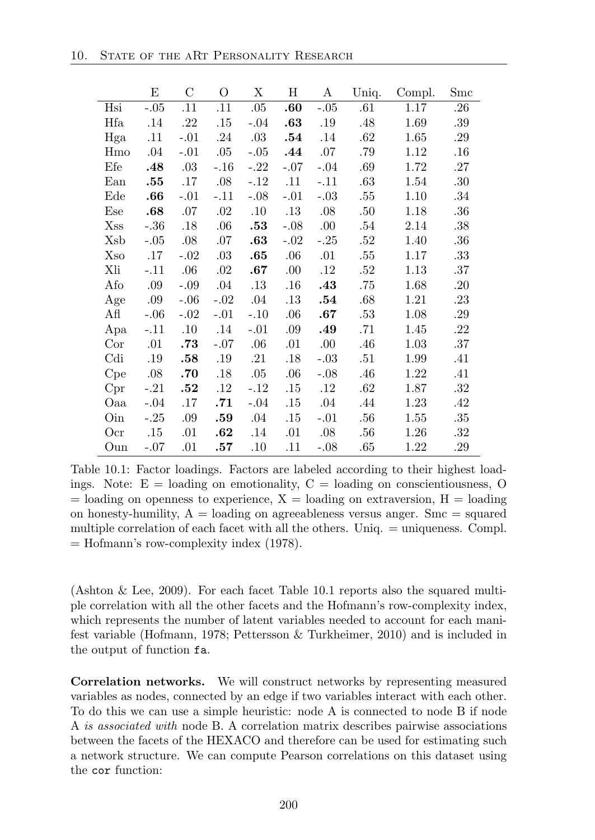|     | Ε      | $\mathcal{C}$ | O       | X       | Η       | A       | Uniq.   | Compl. | Smc     |
|-----|--------|---------------|---------|---------|---------|---------|---------|--------|---------|
| Hsi | $-.05$ | .11           | .11     | .05     | .60     | $-.05$  | .61     | 1.17   | .26     |
| Hfa | .14    | .22           | $.15\,$ | $-.04$  | .63     | $.19\,$ | .48     | 1.69   | .39     |
| Hga | .11    | $-.01$        | .24     | .03     | .54     | .14     | $.62\,$ | 1.65   | .29     |
| Hmo | .04    | $-.01$        | .05     | $-.05$  | .44     | .07     | .79     | 1.12   | $.16\,$ |
| Efe | .48    | .03           | $-.16$  | $-.22$  | $-.07$  | $-.04$  | .69     | 1.72   | .27     |
| Ean | .55    | .17           | .08     | $-.12$  | .11     | $-.11$  | .63     | 1.54   | .30     |
| Ede | .66    | $-.01$        | $-.11$  | $-.08$  | $-.01$  | $-.03$  | .55     | 1.10   | .34     |
| Ese | .68    | .07           | .02     | .10     | .13     | .08     | .50     | 1.18   | .36     |
| Xss | $-.36$ | .18           | .06     | .53     | $-.08$  | .00.    | .54     | 2.14   | $.38\,$ |
| Xsb | $-.05$ | .08           | .07     | .63     | $-.02$  | $-.25$  | .52     | 1.40   | .36     |
| Xso | .17    | $-.02$        | .03     | .65     | .06     | .01     | .55     | 1.17   | .33     |
| Xli | $-.11$ | .06           | .02     | .67     | .00.    | .12     | .52     | 1.13   | .37     |
| Afo | .09    | $-.09$        | .04     | $.13\,$ | $.16\,$ | .43     | .75     | 1.68   | .20     |
| Age | .09    | $-.06$        | $-.02$  | .04     | .13     | .54     | .68     | 1.21   | .23     |
| Αfl | $-.06$ | $-.02$        | $-.01$  | $-.10$  | .06     | .67     | .53     | 1.08   | .29     |
| Apa | $-.11$ | .10           | .14     | $-.01$  | .09     | .49     | .71     | 1.45   | .22     |
| Cor | .01    | .73           | $-.07$  | .06     | .01     | .00.    | .46     | 1.03   | .37     |
| Cdi | .19    | .58           | .19     | .21     | .18     | $-.03$  | .51     | 1.99   | .41     |
| Cpe | .08    | .70           | .18     | $.05\,$ | .06     | $-.08$  | .46     | 1.22   | .41     |
| Cpr | $-.21$ | .52           | .12     | $-.12$  | .15     | $.12\,$ | .62     | 1.87   | .32     |
| Oaa | $-.04$ | .17           | .71     | $-.04$  | .15     | .04     | .44     | 1.23   | .42     |
| Oin | $-.25$ | .09           | .59     | .04     | .15     | $-.01$  | .56     | 1.55   | $.35\,$ |
| Ocr | .15    | .01           | .62     | .14     | .01     | .08     | .56     | 1.26   | .32     |
| Oun | $-.07$ | .01           | .57     | .10     | .11     | $-.08$  | .65     | 1.22   | .29     |

Table 10.1: Factor loadings. Factors are labeled according to their highest loadings. Note:  $E =$  loading on emotionality,  $C =$  loading on conscientiousness, O  $=$  loading on openness to experience,  $X =$  loading on extraversion,  $H =$  loading on honesty-humility,  $A =$  loading on agreeableness versus anger. Smc  $=$  squared multiple correlation of each facet with all the others. Uniq. = uniqueness. Compl. = Hofmann's row-complexity index (1978).

(Ashton & Lee, 2009). For each facet Table 10.1 reports also the squared multiple correlation with all the other facets and the Hofmann's row-complexity index, which represents the number of latent variables needed to account for each manifest variable (Hofmann, 1978; Pettersson & Turkheimer, 2010) and is included in the output of function fa.

Correlation networks. We will construct networks by representing measured variables as nodes, connected by an edge if two variables interact with each other. To do this we can use a simple heuristic: node A is connected to node B if node A *is associated with* node B. A correlation matrix describes pairwise associations between the facets of the HEXACO and therefore can be used for estimating such a network structure. We can compute Pearson correlations on this dataset using the cor function: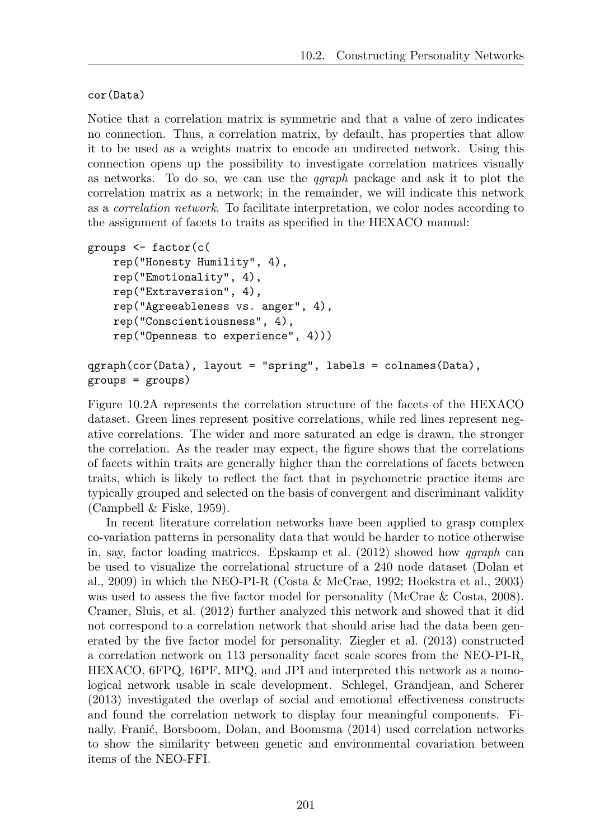#### cor(Data)

Notice that a correlation matrix is symmetric and that a value of zero indicates no connection. Thus, a correlation matrix, by default, has properties that allow it to be used as a weights matrix to encode an undirected network. Using this connection opens up the possibility to investigate correlation matrices visually as networks. To do so, we can use the *qgraph* package and ask it to plot the correlation matrix as a network; in the remainder, we will indicate this network as a *correlation network*. To facilitate interpretation, we color nodes according to the assignment of facets to traits as specified in the HEXACO manual:

```
groups <- factor(c(
```

```
rep("Honesty Humility", 4),
    rep("Emotionality", 4),
    rep("Extraversion", 4),
    rep("Agreeableness vs. anger", 4),
    rep("Conscientiousness", 4),
    rep("Openness to experience", 4)))
qgraph(cor(Data), layout = "spring", labels = colnames(Data),
groups = groups)
```
Figure 10.2A represents the correlation structure of the facets of the HEXACO dataset. Green lines represent positive correlations, while red lines represent negative correlations. The wider and more saturated an edge is drawn, the stronger the correlation. As the reader may expect, the figure shows that the correlations of facets within traits are generally higher than the correlations of facets between traits, which is likely to reflect the fact that in psychometric practice items are typically grouped and selected on the basis of convergent and discriminant validity (Campbell & Fiske, 1959).

In recent literature correlation networks have been applied to grasp complex co-variation patterns in personality data that would be harder to notice otherwise in, say, factor loading matrices. Epskamp et al. (2012) showed how *qgraph* can be used to visualize the correlational structure of a 240 node dataset (Dolan et al., 2009) in which the NEO-PI-R (Costa & McCrae, 1992; Hoekstra et al., 2003) was used to assess the five factor model for personality (McCrae & Costa, 2008). Cramer, Sluis, et al. (2012) further analyzed this network and showed that it did not correspond to a correlation network that should arise had the data been generated by the five factor model for personality. Ziegler et al. (2013) constructed a correlation network on 113 personality facet scale scores from the NEO-PI-R, HEXACO, 6FPQ, 16PF, MPQ, and JPI and interpreted this network as a nomological network usable in scale development. Schlegel, Grandjean, and Scherer  $(2013)$  investigated the overlap of social and emotional effectiveness constructs and found the correlation network to display four meaningful components. Finally, Franić, Borsboom, Dolan, and Boomsma (2014) used correlation networks to show the similarity between genetic and environmental covariation between items of the NEO-FFI.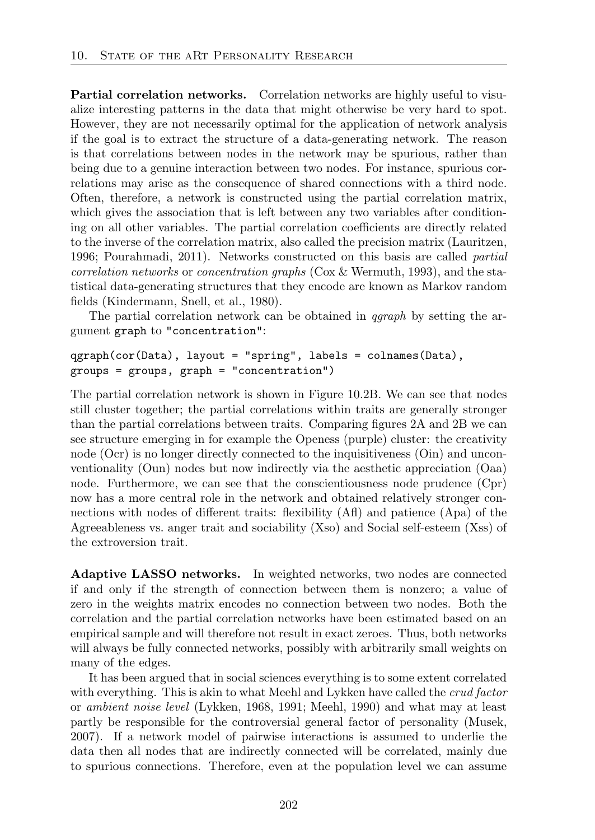Partial correlation networks. Correlation networks are highly useful to visualize interesting patterns in the data that might otherwise be very hard to spot. However, they are not necessarily optimal for the application of network analysis if the goal is to extract the structure of a data-generating network. The reason is that correlations between nodes in the network may be spurious, rather than being due to a genuine interaction between two nodes. For instance, spurious correlations may arise as the consequence of shared connections with a third node. Often, therefore, a network is constructed using the partial correlation matrix, which gives the association that is left between any two variables after conditioning on all other variables. The partial correlation coefficients are directly related to the inverse of the correlation matrix, also called the precision matrix (Lauritzen, 1996; Pourahmadi, 2011). Networks constructed on this basis are called *partial correlation networks* or *concentration graphs* (Cox & Wermuth, 1993), and the statistical data-generating structures that they encode are known as Markov random fields (Kindermann, Snell, et al., 1980).

The partial correlation network can be obtained in *qgraph* by setting the argument graph to "concentration":

```
qgraph(cor(Data), layout = "spring", labels = colnames(Data),
groups = groups, graph = "concentration")
```
The partial correlation network is shown in Figure 10.2B. We can see that nodes still cluster together; the partial correlations within traits are generally stronger than the partial correlations between traits. Comparing figures 2A and 2B we can see structure emerging in for example the Openess (purple) cluster: the creativity node (Ocr) is no longer directly connected to the inquisitiveness (Oin) and unconventionality (Oun) nodes but now indirectly via the aesthetic appreciation (Oaa) node. Furthermore, we can see that the conscientiousness node prudence (Cpr) now has a more central role in the network and obtained relatively stronger connections with nodes of different traits: flexibility  $(Af)$  and patience  $(Apa)$  of the Agreeableness vs. anger trait and sociability (Xso) and Social self-esteem (Xss) of the extroversion trait.

Adaptive LASSO networks. In weighted networks, two nodes are connected if and only if the strength of connection between them is nonzero; a value of zero in the weights matrix encodes no connection between two nodes. Both the correlation and the partial correlation networks have been estimated based on an empirical sample and will therefore not result in exact zeroes. Thus, both networks will always be fully connected networks, possibly with arbitrarily small weights on many of the edges.

It has been argued that in social sciences everything is to some extent correlated with everything. This is akin to what Meehl and Lykken have called the *crud factor* or *ambient noise level* (Lykken, 1968, 1991; Meehl, 1990) and what may at least partly be responsible for the controversial general factor of personality (Musek, 2007). If a network model of pairwise interactions is assumed to underlie the data then all nodes that are indirectly connected will be correlated, mainly due to spurious connections. Therefore, even at the population level we can assume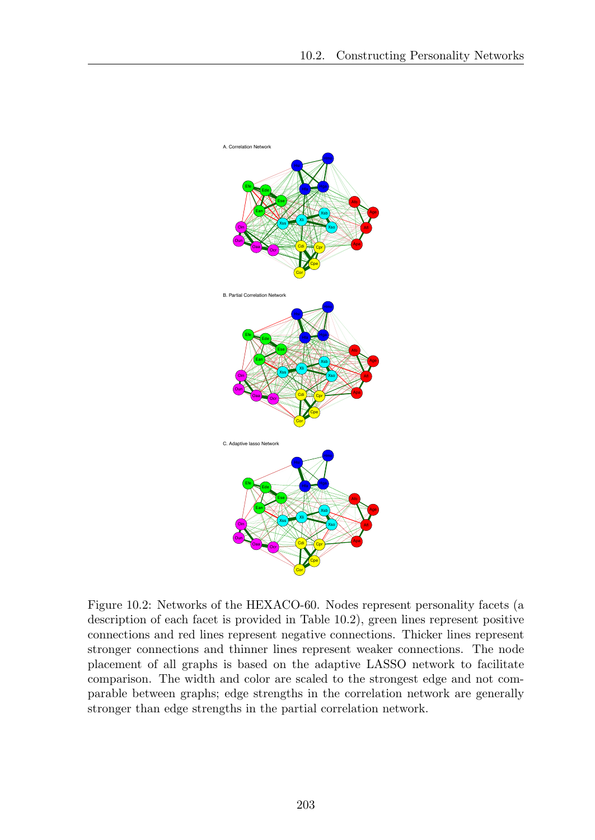

Figure 10.2: Networks of the HEXACO-60. Nodes represent personality facets (a description of each facet is provided in Table 10.2), green lines represent positive connections and red lines represent negative connections. Thicker lines represent stronger connections and thinner lines represent weaker connections. The node placement of all graphs is based on the adaptive LASSO network to facilitate comparison. The width and color are scaled to the strongest edge and not comparable between graphs; edge strengths in the correlation network are generally stronger than edge strengths in the partial correlation network.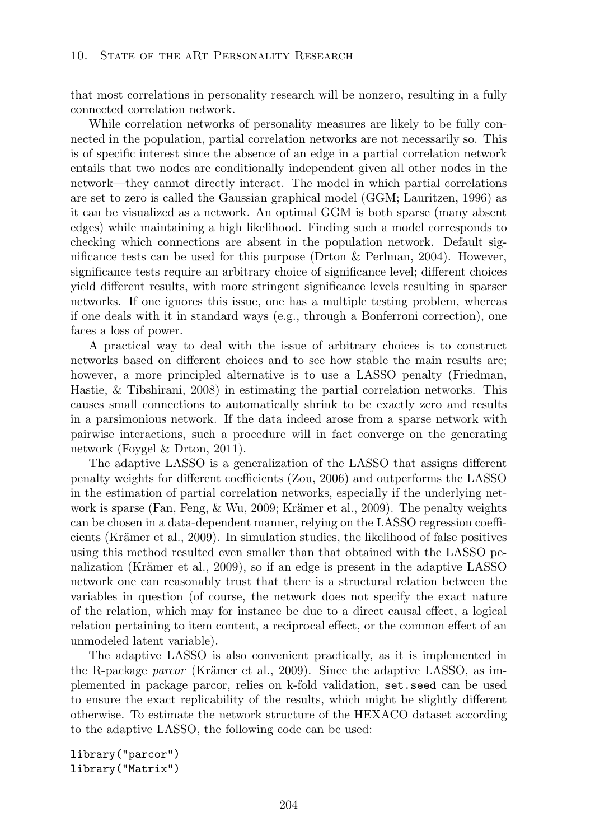that most correlations in personality research will be nonzero, resulting in a fully connected correlation network.

While correlation networks of personality measures are likely to be fully connected in the population, partial correlation networks are not necessarily so. This is of specific interest since the absence of an edge in a partial correlation network entails that two nodes are conditionally independent given all other nodes in the network—they cannot directly interact. The model in which partial correlations are set to zero is called the Gaussian graphical model (GGM; Lauritzen, 1996) as it can be visualized as a network. An optimal GGM is both sparse (many absent edges) while maintaining a high likelihood. Finding such a model corresponds to checking which connections are absent in the population network. Default significance tests can be used for this purpose (Drton  $\&$  Perlman, 2004). However, significance tests require an arbitrary choice of significance level; different choices yield different results, with more stringent significance levels resulting in sparser networks. If one ignores this issue, one has a multiple testing problem, whereas if one deals with it in standard ways (e.g., through a Bonferroni correction), one faces a loss of power.

A practical way to deal with the issue of arbitrary choices is to construct networks based on different choices and to see how stable the main results are; however, a more principled alternative is to use a LASSO penalty (Friedman, Hastie, & Tibshirani, 2008) in estimating the partial correlation networks. This causes small connections to automatically shrink to be exactly zero and results in a parsimonious network. If the data indeed arose from a sparse network with pairwise interactions, such a procedure will in fact converge on the generating network (Foygel & Drton, 2011).

The adaptive LASSO is a generalization of the LASSO that assigns different penalty weights for different coefficients (Zou, 2006) and outperforms the LASSO in the estimation of partial correlation networks, especially if the underlying network is sparse (Fan, Feng,  $&$  Wu, 2009; Krämer et al., 2009). The penalty weights can be chosen in a data-dependent manner, relying on the LASSO regression coefficients (Krämer et al., 2009). In simulation studies, the likelihood of false positives using this method resulted even smaller than that obtained with the LASSO penalization (Krämer et al., 2009), so if an edge is present in the adaptive LASSO network one can reasonably trust that there is a structural relation between the variables in question (of course, the network does not specify the exact nature of the relation, which may for instance be due to a direct causal effect, a logical relation pertaining to item content, a reciprocal effect, or the common effect of an unmodeled latent variable).

The adaptive LASSO is also convenient practically, as it is implemented in the R-package *parcor* (Krämer et al., 2009). Since the adaptive LASSO, as implemented in package parcor, relies on k-fold validation, set.seed can be used to ensure the exact replicability of the results, which might be slightly different otherwise. To estimate the network structure of the HEXACO dataset according to the adaptive LASSO, the following code can be used:

library("parcor") library("Matrix")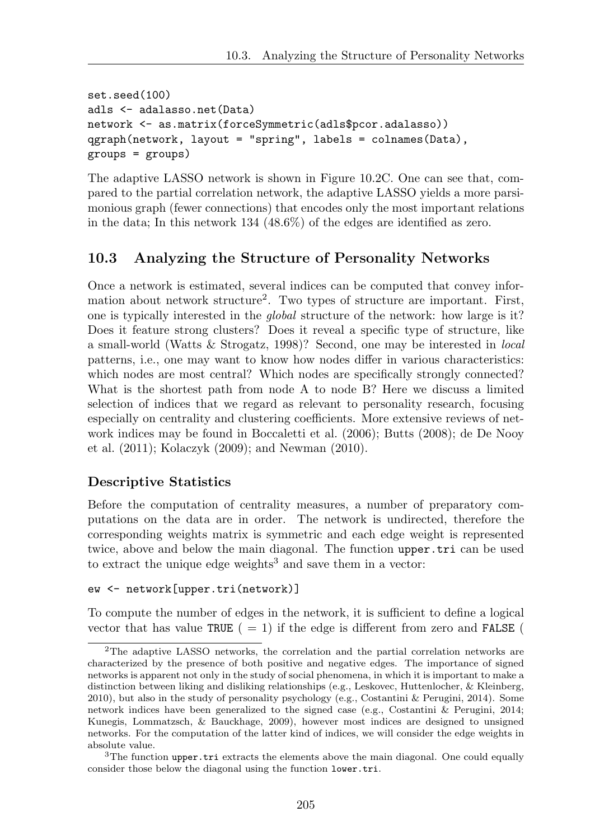```
set.seed(100)
adls <- adalasso.net(Data)
network <- as.matrix(forceSymmetric(adls$pcor.adalasso))
qgraph(network, layout = "spring", labels = colnames(Data),
groups = <math>groups</math>)
```
The adaptive LASSO network is shown in Figure 10.2C. One can see that, compared to the partial correlation network, the adaptive LASSO yields a more parsimonious graph (fewer connections) that encodes only the most important relations in the data; In this network 134 (48.6%) of the edges are identified as zero.

## 10.3 Analyzing the Structure of Personality Networks

Once a network is estimated, several indices can be computed that convey information about network structure<sup>2</sup>. Two types of structure are important. First, one is typically interested in the *global* structure of the network: how large is it? Does it feature strong clusters? Does it reveal a specific type of structure, like a small-world (Watts & Strogatz, 1998)? Second, one may be interested in *local* patterns, i.e., one may want to know how nodes differ in various characteristics: which nodes are most central? Which nodes are specifically strongly connected? What is the shortest path from node A to node B? Here we discuss a limited selection of indices that we regard as relevant to personality research, focusing especially on centrality and clustering coefficients. More extensive reviews of network indices may be found in Boccaletti et al. (2006); Butts (2008); de De Nooy et al. (2011); Kolaczyk (2009); and Newman (2010).

## Descriptive Statistics

Before the computation of centrality measures, a number of preparatory computations on the data are in order. The network is undirected, therefore the corresponding weights matrix is symmetric and each edge weight is represented twice, above and below the main diagonal. The function upper.tri can be used to extract the unique edge weights<sup>3</sup> and save them in a vector:

## ew <- network[upper.tri(network)]

To compute the number of edges in the network, it is sufficient to define a logical vector that has value TRUE ( $= 1$ ) if the edge is different from zero and FALSE (

<sup>2</sup>The adaptive LASSO networks, the correlation and the partial correlation networks are characterized by the presence of both positive and negative edges. The importance of signed networks is apparent not only in the study of social phenomena, in which it is important to make a distinction between liking and disliking relationships (e.g., Leskovec, Huttenlocher, & Kleinberg, 2010), but also in the study of personality psychology (e.g., Costantini & Perugini, 2014). Some network indices have been generalized to the signed case (e.g., Costantini & Perugini, 2014; Kunegis, Lommatzsch, & Bauckhage, 2009), however most indices are designed to unsigned networks. For the computation of the latter kind of indices, we will consider the edge weights in absolute value.

 $3$ The function upper.tri extracts the elements above the main diagonal. One could equally consider those below the diagonal using the function lower.tri.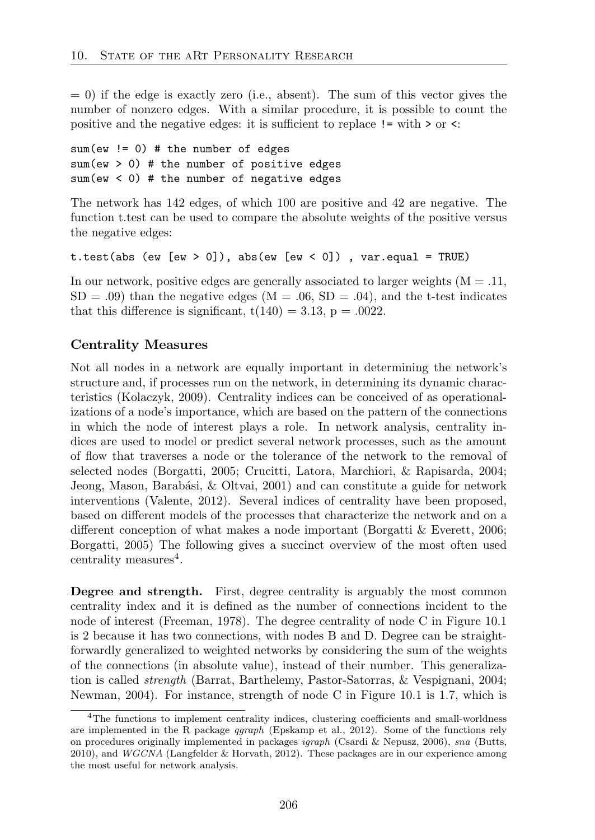$= 0$ ) if the edge is exactly zero (i.e., absent). The sum of this vector gives the number of nonzero edges. With a similar procedure, it is possible to count the positive and the negative edges: it is sufficient to replace  $!=$  with  $>$  or  $\leq$ :

```
sum(ew != 0) # the number of edges
sum(w > 0) # the number of positive edges
sum(w < 0) # the number of negative edges
```
The network has 142 edges, of which 100 are positive and 42 are negative. The function t.test can be used to compare the absolute weights of the positive versus the negative edges:

```
t.test(abs (ew [ew > 0]), abs(ew [ew < 0]) , var.equal = TRUE)
```
In our network, positive edges are generally associated to larger weights  $(M = .11, ...)$  $SD = .09$ ) than the negative edges  $(M = .06, SD = .04)$ , and the t-test indicates that this difference is significant,  $t(140) = 3.13$ , p = .0022.

# Centrality Measures

Not all nodes in a network are equally important in determining the network's structure and, if processes run on the network, in determining its dynamic characteristics (Kolaczyk, 2009). Centrality indices can be conceived of as operationalizations of a node's importance, which are based on the pattern of the connections in which the node of interest plays a role. In network analysis, centrality indices are used to model or predict several network processes, such as the amount of flow that traverses a node or the tolerance of the network to the removal of selected nodes (Borgatti, 2005; Crucitti, Latora, Marchiori, & Rapisarda, 2004; Jeong, Mason, Barabási,  $\&$  Oltvai, 2001) and can constitute a guide for network interventions (Valente, 2012). Several indices of centrality have been proposed, based on different models of the processes that characterize the network and on a different conception of what makes a node important (Borgatti  $&$  Everett, 2006; Borgatti, 2005) The following gives a succinct overview of the most often used centrality measures<sup>4</sup>.

Degree and strength. First, degree centrality is arguably the most common centrality index and it is defined as the number of connections incident to the node of interest (Freeman, 1978). The degree centrality of node C in Figure 10.1 is 2 because it has two connections, with nodes B and D. Degree can be straightforwardly generalized to weighted networks by considering the sum of the weights of the connections (in absolute value), instead of their number. This generalization is called *strength* (Barrat, Barthelemy, Pastor-Satorras, & Vespignani, 2004; Newman, 2004). For instance, strength of node C in Figure 10.1 is 1.7, which is

<sup>&</sup>lt;sup>4</sup>The functions to implement centrality indices, clustering coefficients and small-worldness are implemented in the R package *qgraph* (Epskamp et al., 2012). Some of the functions rely on procedures originally implemented in packages *igraph* (Csardi & Nepusz, 2006), *sna* (Butts, 2010), and *WGCNA* (Langfelder & Horvath, 2012). These packages are in our experience among the most useful for network analysis.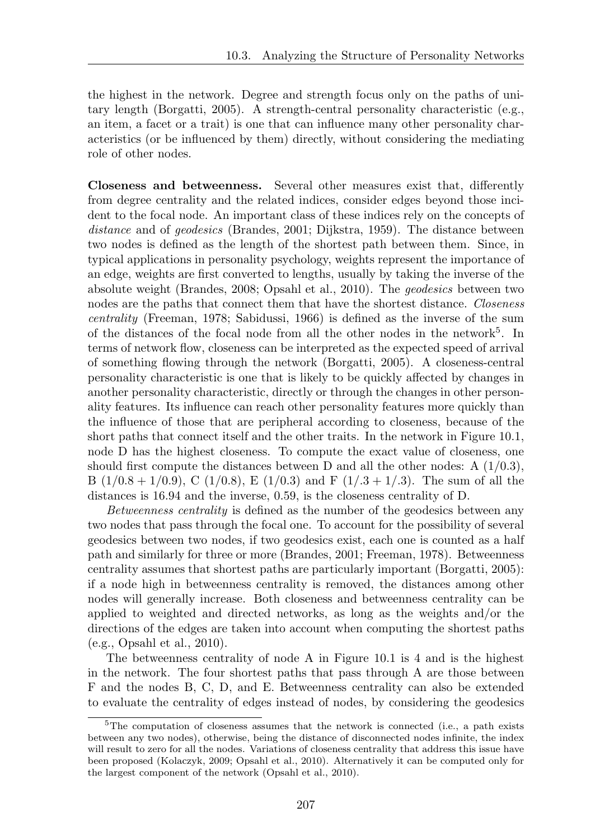the highest in the network. Degree and strength focus only on the paths of unitary length (Borgatti, 2005). A strength-central personality characteristic (e.g., an item, a facet or a trait) is one that can influence many other personality characteristics (or be influenced by them) directly, without considering the mediating role of other nodes.

Closeness and betweenness. Several other measures exist that, differently from degree centrality and the related indices, consider edges beyond those incident to the focal node. An important class of these indices rely on the concepts of *distance* and of *geodesics* (Brandes, 2001; Dijkstra, 1959). The distance between two nodes is defined as the length of the shortest path between them. Since, in typical applications in personality psychology, weights represent the importance of an edge, weights are first converted to lengths, usually by taking the inverse of the absolute weight (Brandes, 2008; Opsahl et al., 2010). The *geodesics* between two nodes are the paths that connect them that have the shortest distance. *Closeness centrality* (Freeman, 1978; Sabidussi, 1966) is defined as the inverse of the sum of the distances of the focal node from all the other nodes in the network<sup>5</sup>. In terms of network flow, closeness can be interpreted as the expected speed of arrival of something flowing through the network (Borgatti, 2005). A closeness-central personality characteristic is one that is likely to be quickly a↵ected by changes in another personality characteristic, directly or through the changes in other personality features. Its influence can reach other personality features more quickly than the influence of those that are peripheral according to closeness, because of the short paths that connect itself and the other traits. In the network in Figure 10.1, node D has the highest closeness. To compute the exact value of closeness, one should first compute the distances between D and all the other nodes: A (1*/*0*.*3), B (1*/*0*.*8+1*/*0*.*9), C (1*/*0*.*8), E (1*/*0*.*3) and F (1*/.*3+1*/.*3). The sum of all the distances is 16*.*94 and the inverse, 0*.*59, is the closeness centrality of D.

*Betweenness centrality* is defined as the number of the geodesics between any two nodes that pass through the focal one. To account for the possibility of several geodesics between two nodes, if two geodesics exist, each one is counted as a half path and similarly for three or more (Brandes, 2001; Freeman, 1978). Betweenness centrality assumes that shortest paths are particularly important (Borgatti, 2005): if a node high in betweenness centrality is removed, the distances among other nodes will generally increase. Both closeness and betweenness centrality can be applied to weighted and directed networks, as long as the weights and/or the directions of the edges are taken into account when computing the shortest paths (e.g., Opsahl et al., 2010).

The betweenness centrality of node A in Figure 10.1 is 4 and is the highest in the network. The four shortest paths that pass through A are those between F and the nodes B, C, D, and E. Betweenness centrality can also be extended to evaluate the centrality of edges instead of nodes, by considering the geodesics

<sup>&</sup>lt;sup>5</sup>The computation of closeness assumes that the network is connected (i.e., a path exists between any two nodes), otherwise, being the distance of disconnected nodes infinite, the index will result to zero for all the nodes. Variations of closeness centrality that address this issue have been proposed (Kolaczyk, 2009; Opsahl et al., 2010). Alternatively it can be computed only for the largest component of the network (Opsahl et al., 2010).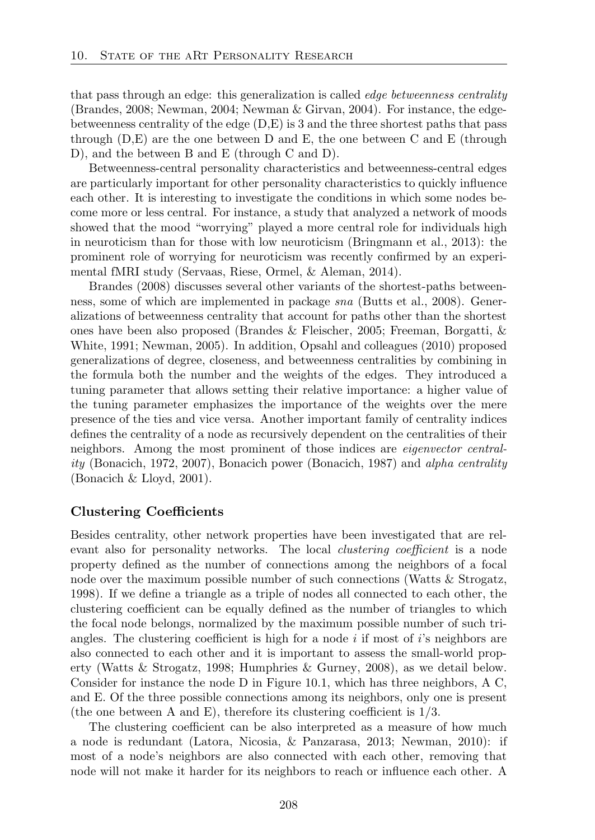that pass through an edge: this generalization is called *edge betweenness centrality* (Brandes, 2008; Newman, 2004; Newman & Girvan, 2004). For instance, the edgebetweenness centrality of the edge  $(D, E)$  is 3 and the three shortest paths that pass through  $(D,E)$  are the one between D and E, the one between C and E (through D), and the between B and E (through C and D).

Betweenness-central personality characteristics and betweenness-central edges are particularly important for other personality characteristics to quickly influence each other. It is interesting to investigate the conditions in which some nodes become more or less central. For instance, a study that analyzed a network of moods showed that the mood "worrying" played a more central role for individuals high in neuroticism than for those with low neuroticism (Bringmann et al., 2013): the prominent role of worrying for neuroticism was recently confirmed by an experimental fMRI study (Servaas, Riese, Ormel, & Aleman, 2014).

Brandes (2008) discusses several other variants of the shortest-paths betweenness, some of which are implemented in package *sna* (Butts et al., 2008). Generalizations of betweenness centrality that account for paths other than the shortest ones have been also proposed (Brandes & Fleischer, 2005; Freeman, Borgatti, & White, 1991; Newman, 2005). In addition, Opsahl and colleagues (2010) proposed generalizations of degree, closeness, and betweenness centralities by combining in the formula both the number and the weights of the edges. They introduced a tuning parameter that allows setting their relative importance: a higher value of the tuning parameter emphasizes the importance of the weights over the mere presence of the ties and vice versa. Another important family of centrality indices defines the centrality of a node as recursively dependent on the centralities of their neighbors. Among the most prominent of those indices are *eigenvector centrality* (Bonacich, 1972, 2007), Bonacich power (Bonacich, 1987) and *alpha centrality* (Bonacich & Lloyd, 2001).

#### Clustering Coefficients

Besides centrality, other network properties have been investigated that are relevant also for personality networks. The local *clustering coefficient* is a node property defined as the number of connections among the neighbors of a focal node over the maximum possible number of such connections (Watts & Strogatz, 1998). If we define a triangle as a triple of nodes all connected to each other, the clustering coefficient can be equally defined as the number of triangles to which the focal node belongs, normalized by the maximum possible number of such triangles. The clustering coefficient is high for a node *i* if most of *i*'s neighbors are also connected to each other and it is important to assess the small-world property (Watts & Strogatz, 1998; Humphries & Gurney, 2008), as we detail below. Consider for instance the node D in Figure 10.1, which has three neighbors, A C, and E. Of the three possible connections among its neighbors, only one is present (the one between A and E), therefore its clustering coefficient is 1*/*3.

The clustering coefficient can be also interpreted as a measure of how much a node is redundant (Latora, Nicosia, & Panzarasa, 2013; Newman, 2010): if most of a node's neighbors are also connected with each other, removing that node will not make it harder for its neighbors to reach or influence each other. A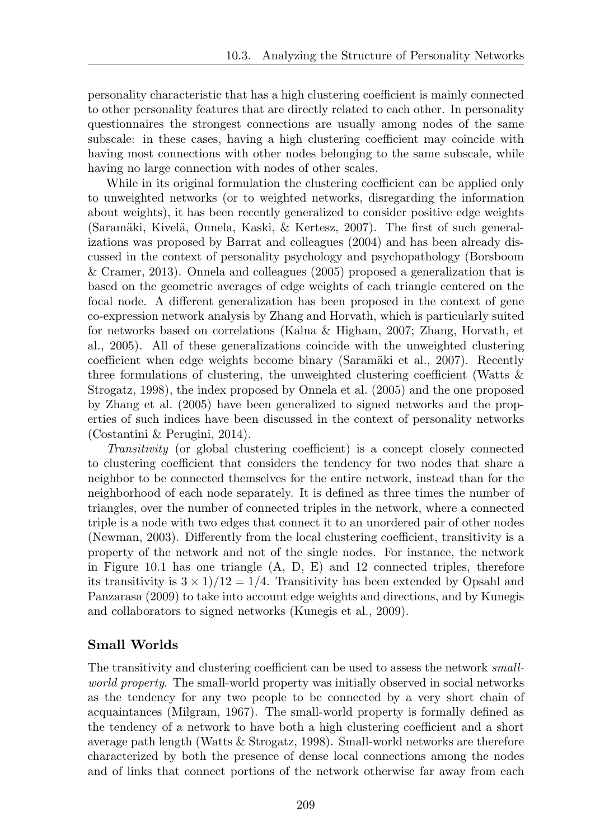personality characteristic that has a high clustering coefficient is mainly connected to other personality features that are directly related to each other. In personality questionnaires the strongest connections are usually among nodes of the same subscale: in these cases, having a high clustering coefficient may coincide with having most connections with other nodes belonging to the same subscale, while having no large connection with nodes of other scales.

While in its original formulation the clustering coefficient can be applied only to unweighted networks (or to weighted networks, disregarding the information about weights), it has been recently generalized to consider positive edge weights (Saramäki, Kivelä, Onnela, Kaski, & Kertesz, 2007). The first of such generalizations was proposed by Barrat and colleagues (2004) and has been already discussed in the context of personality psychology and psychopathology (Borsboom & Cramer, 2013). Onnela and colleagues (2005) proposed a generalization that is based on the geometric averages of edge weights of each triangle centered on the focal node. A different generalization has been proposed in the context of gene co-expression network analysis by Zhang and Horvath, which is particularly suited for networks based on correlations (Kalna & Higham, 2007; Zhang, Horvath, et al., 2005). All of these generalizations coincide with the unweighted clustering coefficient when edge weights become binary (Saramäki et al., 2007). Recently three formulations of clustering, the unweighted clustering coefficient (Watts  $\&$ Strogatz, 1998), the index proposed by Onnela et al. (2005) and the one proposed by Zhang et al. (2005) have been generalized to signed networks and the properties of such indices have been discussed in the context of personality networks (Costantini & Perugini, 2014).

*Transitivity* (or global clustering coefficient) is a concept closely connected to clustering coefficient that considers the tendency for two nodes that share a neighbor to be connected themselves for the entire network, instead than for the neighborhood of each node separately. It is defined as three times the number of triangles, over the number of connected triples in the network, where a connected triple is a node with two edges that connect it to an unordered pair of other nodes (Newman, 2003). Differently from the local clustering coefficient, transitivity is a property of the network and not of the single nodes. For instance, the network in Figure 10.1 has one triangle  $(A, D, E)$  and 12 connected triples, therefore its transitivity is  $3 \times 1$ /12 = 1/4. Transitivity has been extended by Opsahl and Panzarasa (2009) to take into account edge weights and directions, and by Kunegis and collaborators to signed networks (Kunegis et al., 2009).

# Small Worlds

The transitivity and clustering coefficient can be used to assess the network *smallworld property*. The small-world property was initially observed in social networks as the tendency for any two people to be connected by a very short chain of acquaintances (Milgram, 1967). The small-world property is formally defined as the tendency of a network to have both a high clustering coefficient and a short average path length (Watts & Strogatz, 1998). Small-world networks are therefore characterized by both the presence of dense local connections among the nodes and of links that connect portions of the network otherwise far away from each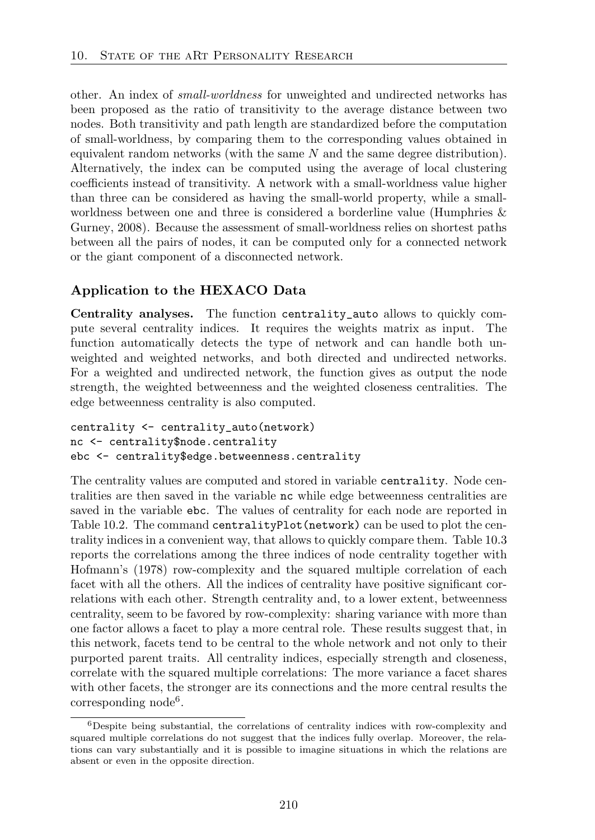other. An index of *small-worldness* for unweighted and undirected networks has been proposed as the ratio of transitivity to the average distance between two nodes. Both transitivity and path length are standardized before the computation of small-worldness, by comparing them to the corresponding values obtained in equivalent random networks (with the same *N* and the same degree distribution). Alternatively, the index can be computed using the average of local clustering coefficients instead of transitivity. A network with a small-worldness value higher than three can be considered as having the small-world property, while a smallworldness between one and three is considered a borderline value (Humphries & Gurney, 2008). Because the assessment of small-worldness relies on shortest paths between all the pairs of nodes, it can be computed only for a connected network or the giant component of a disconnected network.

# Application to the HEXACO Data

Centrality analyses. The function centrality\_auto allows to quickly compute several centrality indices. It requires the weights matrix as input. The function automatically detects the type of network and can handle both unweighted and weighted networks, and both directed and undirected networks. For a weighted and undirected network, the function gives as output the node strength, the weighted betweenness and the weighted closeness centralities. The edge betweenness centrality is also computed.

```
centrality <- centrality_auto(network)
nc <- centrality$node.centrality
ebc <- centrality$edge.betweenness.centrality
```
The centrality values are computed and stored in variable centrality. Node centralities are then saved in the variable nc while edge betweenness centralities are saved in the variable ebc. The values of centrality for each node are reported in Table 10.2. The command centralityPlot(network) can be used to plot the centrality indices in a convenient way, that allows to quickly compare them. Table 10.3 reports the correlations among the three indices of node centrality together with Hofmann's (1978) row-complexity and the squared multiple correlation of each facet with all the others. All the indices of centrality have positive significant correlations with each other. Strength centrality and, to a lower extent, betweenness centrality, seem to be favored by row-complexity: sharing variance with more than one factor allows a facet to play a more central role. These results suggest that, in this network, facets tend to be central to the whole network and not only to their purported parent traits. All centrality indices, especially strength and closeness, correlate with the squared multiple correlations: The more variance a facet shares with other facets, the stronger are its connections and the more central results the  $corresponding node<sup>6</sup>$ .

<sup>6</sup>Despite being substantial, the correlations of centrality indices with row-complexity and squared multiple correlations do not suggest that the indices fully overlap. Moreover, the relations can vary substantially and it is possible to imagine situations in which the relations are absent or even in the opposite direction.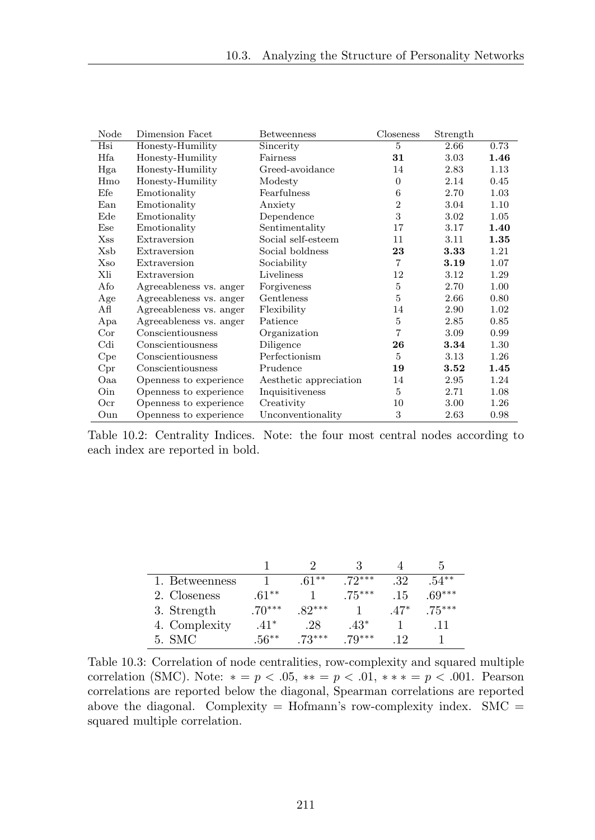| Node           | Dimension Facet         | Betweenness            | Closeness      | Strength   |          |
|----------------|-------------------------|------------------------|----------------|------------|----------|
| Hsi            | Honesty-Humility        | Sincerity              | $\overline{5}$ | 2.66       | 0.73     |
| Hfa            | Honesty-Humility        | Fairness               | 31             | 3.03       | 1.46     |
| Hga            | Honesty-Humility        | Greed-avoidance        | 14             | 2.83       | 1.13     |
| $H_{\text{m}}$ | Honesty-Humility        | Modesty                | $\overline{0}$ | 2.14       | 0.45     |
| Efe            | Emotionality            | Fearfulness            | 6              | 2.70       | 1.03     |
| Ean            | Emotionality            | Anxiety                | $\overline{2}$ | 3.04       | 1.10     |
| Ede            | Emotionality            | Dependence             | 3              | 3.02       | 1.05     |
| Ese            | Emotionality            | Sentimentality         | 17             | 3.17       | 1.40     |
| $_{\rm Xss}$   | Extraversion            | Social self-esteem     | 11             | 3.11       | $1.35\,$ |
| Xsb            | Extraversion            | Social boldness        | 23             | 3.33       | 1.21     |
| Xso            | Extraversion            | Sociability            | $\overline{7}$ | 3.19       | 1.07     |
| Xli            | Extraversion            | Liveliness             | 12             | 3.12       | 1.29     |
| Afo            | Agreeableness vs. anger | Forgiveness            | $\overline{5}$ | 2.70       | 1.00     |
| Age            | Agreeableness vs. anger | Gentleness             | 5              | 2.66       | 0.80     |
| Αfl            | Agreeableness vs. anger | Flexibility            | 14             | 2.90       | 1.02     |
| Apa            | Agreeableness vs. anger | Patience               | $\overline{5}$ | 2.85       | 0.85     |
| Cor            | Conscientiousness       | Organization           | $\overline{7}$ | 3.09       | 0.99     |
| Cdi            | Conscientiousness       | Diligence              | 26             | $\bf 3.34$ | 1.30     |
| Cpe            | Conscientiousness       | Perfectionism          | 5              | 3.13       | 1.26     |
| Cpr            | Conscientiousness       | Prudence               | 19             | 3.52       | 1.45     |
| Oaa            | Openness to experience  | Aesthetic appreciation | 14             | 2.95       | 1.24     |
| Oin            | Openness to experience  | Inquisitiveness        | 5              | 2.71       | 1.08     |
| Ocr            | Openness to experience  | Creativity             | 10             | 3.00       | 1.26     |
| Oun            | Openness to experience  | Unconventionality      | 3              | 2.63       | 0.98     |

Table 10.2: Centrality Indices. Note: the four most central nodes according to each index are reported in bold.

| 1. Betweenness |          | $.61***$ | $.72***$ | -32    | $.54***$ |
|----------------|----------|----------|----------|--------|----------|
| 2. Closeness   | $61**$   |          | $.75***$ | .15    | $69***$  |
| 3. Strength    | $.70***$ | $82***$  |          | $.47*$ | $.75***$ |
| 4. Complexity  | $.41*$   | .28      | $.43*$   |        |          |
| 5. SMC         | .56**    | $.73***$ | $79***$  | 19     |          |

Table 10.3: Correlation of node centralities, row-complexity and squared multiple correlation (SMC). Note:  $* = p < .05$ ,  $** = p < .01$ ,  $** = p < .001$ . Pearson correlations are reported below the diagonal, Spearman correlations are reported above the diagonal. Complexity = Hofmann's row-complexity index.  $SMC =$ squared multiple correlation.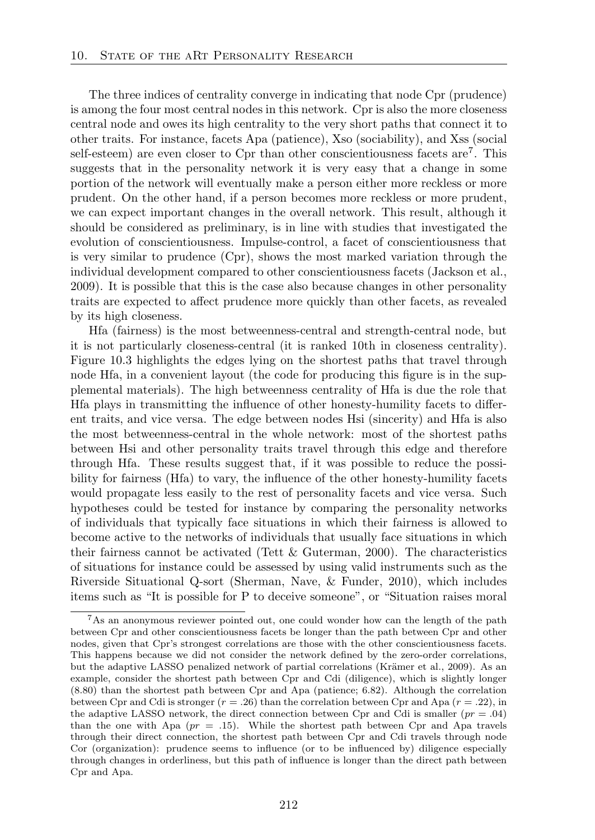The three indices of centrality converge in indicating that node Cpr (prudence) is among the four most central nodes in this network. Cpr is also the more closeness central node and owes its high centrality to the very short paths that connect it to other traits. For instance, facets Apa (patience), Xso (sociability), and Xss (social self-esteem) are even closer to Cpr than other conscientiousness facets are<sup>7</sup>. This suggests that in the personality network it is very easy that a change in some portion of the network will eventually make a person either more reckless or more prudent. On the other hand, if a person becomes more reckless or more prudent, we can expect important changes in the overall network. This result, although it should be considered as preliminary, is in line with studies that investigated the evolution of conscientiousness. Impulse-control, a facet of conscientiousness that is very similar to prudence (Cpr), shows the most marked variation through the individual development compared to other conscientiousness facets (Jackson et al., 2009). It is possible that this is the case also because changes in other personality traits are expected to affect prudence more quickly than other facets, as revealed by its high closeness.

Hfa (fairness) is the most betweenness-central and strength-central node, but it is not particularly closeness-central (it is ranked 10th in closeness centrality). Figure 10.3 highlights the edges lying on the shortest paths that travel through node Hfa, in a convenient layout (the code for producing this figure is in the supplemental materials). The high betweenness centrality of Hfa is due the role that Hfa plays in transmitting the influence of other honesty-humility facets to different traits, and vice versa. The edge between nodes Hsi (sincerity) and Hfa is also the most betweenness-central in the whole network: most of the shortest paths between Hsi and other personality traits travel through this edge and therefore through Hfa. These results suggest that, if it was possible to reduce the possibility for fairness (Hfa) to vary, the influence of the other honesty-humility facets would propagate less easily to the rest of personality facets and vice versa. Such hypotheses could be tested for instance by comparing the personality networks of individuals that typically face situations in which their fairness is allowed to become active to the networks of individuals that usually face situations in which their fairness cannot be activated (Tett  $&$  Guterman, 2000). The characteristics of situations for instance could be assessed by using valid instruments such as the Riverside Situational Q-sort (Sherman, Nave, & Funder, 2010), which includes items such as "It is possible for P to deceive someone", or "Situation raises moral

<sup>7</sup>As an anonymous reviewer pointed out, one could wonder how can the length of the path between Cpr and other conscientiousness facets be longer than the path between Cpr and other nodes, given that Cpr's strongest correlations are those with the other conscientiousness facets. This happens because we did not consider the network defined by the zero-order correlations, but the adaptive LASSO penalized network of partial correlations (Krämer et al., 2009). As an example, consider the shortest path between Cpr and Cdi (diligence), which is slightly longer (8.80) than the shortest path between Cpr and Apa (patience; 6.82). Although the correlation between Cpr and Cdi is stronger (*r* = *.*26) than the correlation between Cpr and Apa (*r* = *.*22), in the adaptive LASSO network, the direct connection between Cpr and Cdi is smaller (*pr* = *.*04) than the one with Apa  $(pr = .15)$ . While the shortest path between Cpr and Apa travels through their direct connection, the shortest path between Cpr and Cdi travels through node Cor (organization): prudence seems to influence (or to be influenced by) diligence especially through changes in orderliness, but this path of influence is longer than the direct path between Cpr and Apa.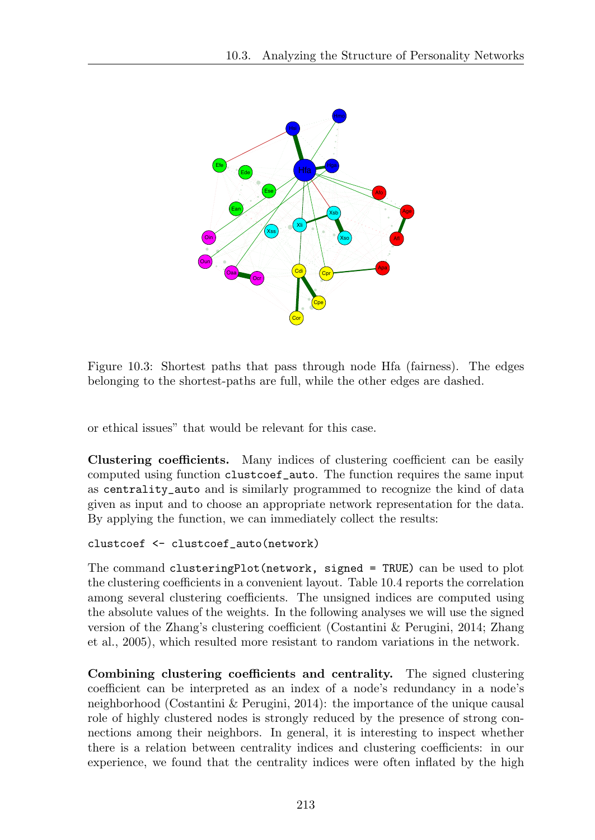

Figure 10.3: Shortest paths that pass through node Hfa (fairness). The edges belonging to the shortest-paths are full, while the other edges are dashed.

or ethical issues" that would be relevant for this case.

Clustering coefficients. Many indices of clustering coefficient can be easily computed using function clustcoef\_auto. The function requires the same input as centrality\_auto and is similarly programmed to recognize the kind of data given as input and to choose an appropriate network representation for the data. By applying the function, we can immediately collect the results:

```
clustcoef <- clustcoef_auto(network)
```
The command clusteringPlot(network, signed = TRUE) can be used to plot the clustering coefficients in a convenient layout. Table 10.4 reports the correlation among several clustering coefficients. The unsigned indices are computed using the absolute values of the weights. In the following analyses we will use the signed version of the Zhang's clustering coefficient (Costantini & Perugini, 2014; Zhang et al., 2005), which resulted more resistant to random variations in the network.

Combining clustering coefficients and centrality. The signed clustering coefficient can be interpreted as an index of a node's redundancy in a node's neighborhood (Costantini & Perugini, 2014): the importance of the unique causal role of highly clustered nodes is strongly reduced by the presence of strong connections among their neighbors. In general, it is interesting to inspect whether there is a relation between centrality indices and clustering coefficients: in our experience, we found that the centrality indices were often inflated by the high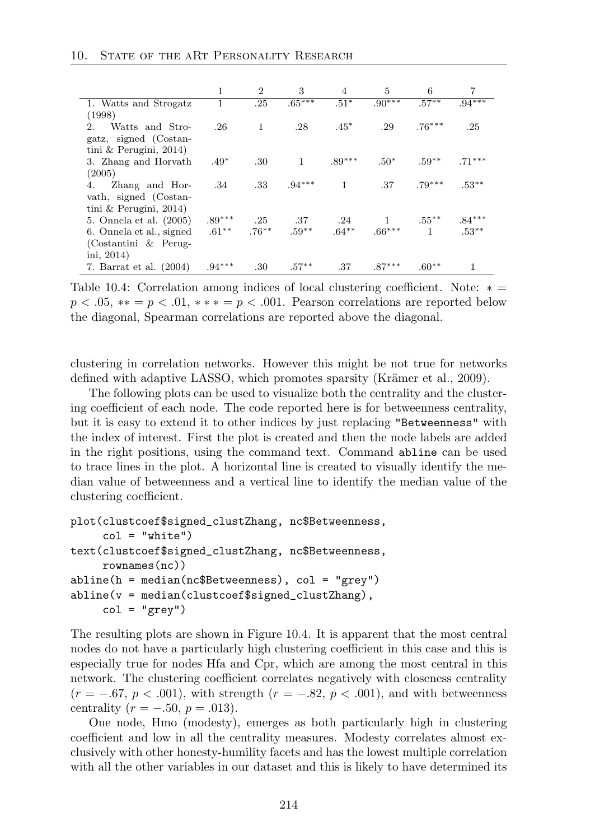|                           | 1        | $\overline{2}$ | 3        | 4        | 5        | 6        |          |
|---------------------------|----------|----------------|----------|----------|----------|----------|----------|
| 1. Watts and Strogatz     |          | .25            | $.65***$ | $.51*$   | $.90***$ | $.57***$ | $.94***$ |
| (1998)                    |          |                |          |          |          |          |          |
| Watts and Stro-           | .26      | 1              | .28      | $.45*$   | .29      | $.76***$ | .25      |
| gatz, signed (Costan-     |          |                |          |          |          |          |          |
| tini $&$ Perugini, 2014)  |          |                |          |          |          |          |          |
| 3. Zhang and Horvath      | $.49*$   | .30            | 1        | $.89***$ | $.50*$   | $.59***$ | $.71***$ |
| (2005)                    |          |                |          |          |          |          |          |
| Zhang and Hor-            | .34      | .33            | $.94***$ | 1        | .37      | $.79***$ | $.53***$ |
| vath, signed (Costan-     |          |                |          |          |          |          |          |
| tini & Perugini, $2014$ ) |          |                |          |          |          |          |          |
| 5. Onnela et al. (2005)   | $.89***$ | .25            | .37      | .24      |          | $.55***$ | $.84***$ |
| 6. Onnela et al., signed  | $.61***$ | $.76***$       | $.59**$  | $.64***$ | $.66***$ |          | $.53***$ |
| (Costantini & Perug-      |          |                |          |          |          |          |          |
| $\text{ini}, 2014)$       |          |                |          |          |          |          |          |
| 7. Barrat et al. (2004)   | $.94***$ | .30            | $.57***$ | .37      | $.87***$ | $.60**$  |          |

Table 10.4: Correlation among indices of local clustering coefficient. Note:  $* =$  $p < .05$ ,  $** = p < .01$ ,  $** = p < .001$ . Pearson correlations are reported below the diagonal, Spearman correlations are reported above the diagonal.

clustering in correlation networks. However this might be not true for networks defined with adaptive LASSO, which promotes sparsity (Krämer et al., 2009).

The following plots can be used to visualize both the centrality and the clustering coefficient of each node. The code reported here is for betweenness centrality, but it is easy to extend it to other indices by just replacing "Betweenness" with the index of interest. First the plot is created and then the node labels are added in the right positions, using the command text. Command abline can be used to trace lines in the plot. A horizontal line is created to visually identify the median value of betweenness and a vertical line to identify the median value of the clustering coefficient.

```
plot(clustcoef$signed_clustZhang, nc$Betweenness,
     col = "white")text(clustcoef$signed_clustZhang, nc$Betweenness,
     rownames(nc))
abline(h = median(nc$Betweenness), col = "grey")abline(v = median(clustcoef$signed_clustZhang),
     col = "grey")
```
The resulting plots are shown in Figure 10.4. It is apparent that the most central nodes do not have a particularly high clustering coefficient in this case and this is especially true for nodes Hfa and Cpr, which are among the most central in this network. The clustering coefficient correlates negatively with closeness centrality (*r* = *−.*67, *p<.*001), with strength (*r* = *−.*82, *p<.*001), and with betweenness centrality  $(r = -.50, p = .013)$ .

One node, Hmo (modesty), emerges as both particularly high in clustering coefficient and low in all the centrality measures. Modesty correlates almost exclusively with other honesty-humility facets and has the lowest multiple correlation with all the other variables in our dataset and this is likely to have determined its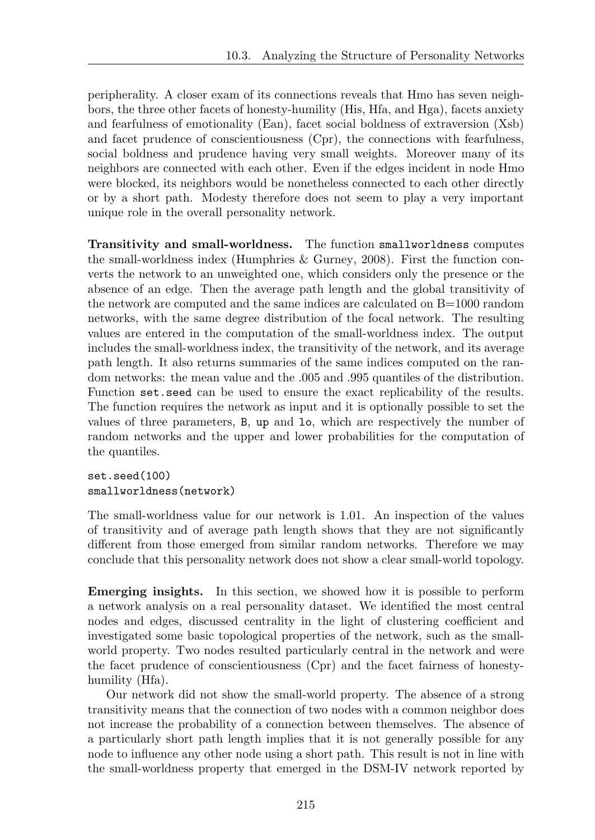peripherality. A closer exam of its connections reveals that Hmo has seven neighbors, the three other facets of honesty-humility (His, Hfa, and Hga), facets anxiety and fearfulness of emotionality (Ean), facet social boldness of extraversion (Xsb) and facet prudence of conscientiousness (Cpr), the connections with fearfulness, social boldness and prudence having very small weights. Moreover many of its neighbors are connected with each other. Even if the edges incident in node Hmo were blocked, its neighbors would be nonetheless connected to each other directly or by a short path. Modesty therefore does not seem to play a very important unique role in the overall personality network.

Transitivity and small-worldness. The function smallworldness computes the small-worldness index (Humphries & Gurney, 2008). First the function converts the network to an unweighted one, which considers only the presence or the absence of an edge. Then the average path length and the global transitivity of the network are computed and the same indices are calculated on B=1000 random networks, with the same degree distribution of the focal network. The resulting values are entered in the computation of the small-worldness index. The output includes the small-worldness index, the transitivity of the network, and its average path length. It also returns summaries of the same indices computed on the random networks: the mean value and the *.*005 and *.*995 quantiles of the distribution. Function set.seed can be used to ensure the exact replicability of the results. The function requires the network as input and it is optionally possible to set the values of three parameters, B, up and lo, which are respectively the number of random networks and the upper and lower probabilities for the computation of the quantiles.

set.seed(100) smallworldness(network)

The small-worldness value for our network is 1*.*01. An inspection of the values of transitivity and of average path length shows that they are not significantly different from those emerged from similar random networks. Therefore we may conclude that this personality network does not show a clear small-world topology.

Emerging insights. In this section, we showed how it is possible to perform a network analysis on a real personality dataset. We identified the most central nodes and edges, discussed centrality in the light of clustering coefficient and investigated some basic topological properties of the network, such as the smallworld property. Two nodes resulted particularly central in the network and were the facet prudence of conscientiousness (Cpr) and the facet fairness of honestyhumility (Hfa).

Our network did not show the small-world property. The absence of a strong transitivity means that the connection of two nodes with a common neighbor does not increase the probability of a connection between themselves. The absence of a particularly short path length implies that it is not generally possible for any node to influence any other node using a short path. This result is not in line with the small-worldness property that emerged in the DSM-IV network reported by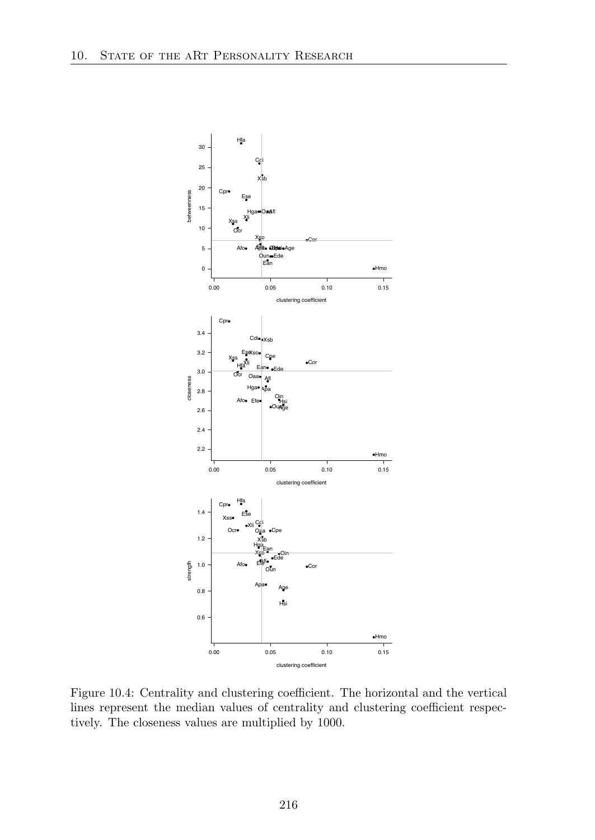

Figure 10.4: Centrality and clustering coefficient. The horizontal and the vertical lines represent the median values of centrality and clustering coefficient respectively. The closeness values are multiplied by 1000.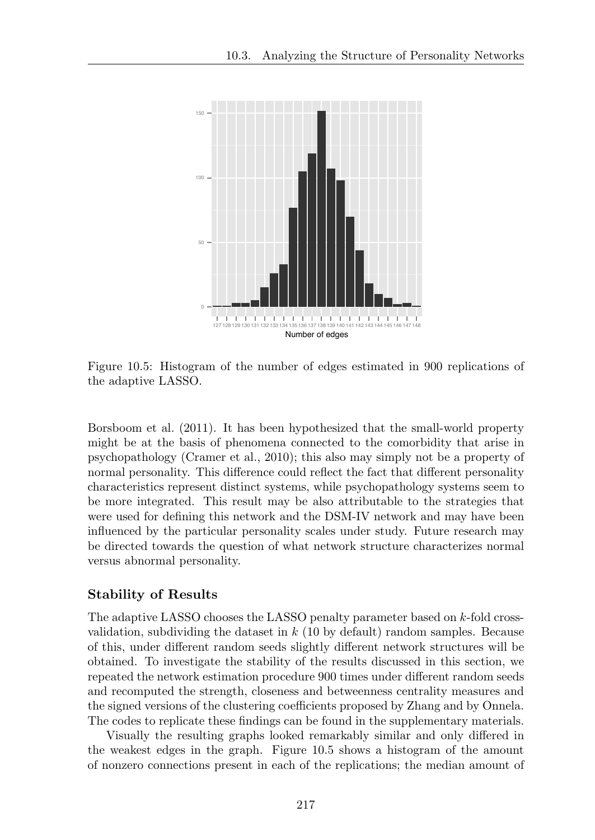

Figure 10.5: Histogram of the number of edges estimated in 900 replications of the adaptive LASSO.

Borsboom et al. (2011). It has been hypothesized that the small-world property might be at the basis of phenomena connected to the comorbidity that arise in psychopathology (Cramer et al., 2010); this also may simply not be a property of normal personality. This difference could reflect the fact that different personality characteristics represent distinct systems, while psychopathology systems seem to be more integrated. This result may be also attributable to the strategies that were used for defining this network and the DSM-IV network and may have been influenced by the particular personality scales under study. Future research may be directed towards the question of what network structure characterizes normal versus abnormal personality.

## Stability of Results

The adaptive LASSO chooses the LASSO penalty parameter based on *k*-fold crossvalidation, subdividing the dataset in *k* (10 by default) random samples. Because of this, under different random seeds slightly different network structures will be obtained. To investigate the stability of the results discussed in this section, we repeated the network estimation procedure 900 times under different random seeds and recomputed the strength, closeness and betweenness centrality measures and the signed versions of the clustering coefficients proposed by Zhang and by Onnela. The codes to replicate these findings can be found in the supplementary materials.

Visually the resulting graphs looked remarkably similar and only differed in the weakest edges in the graph. Figure 10.5 shows a histogram of the amount of nonzero connections present in each of the replications; the median amount of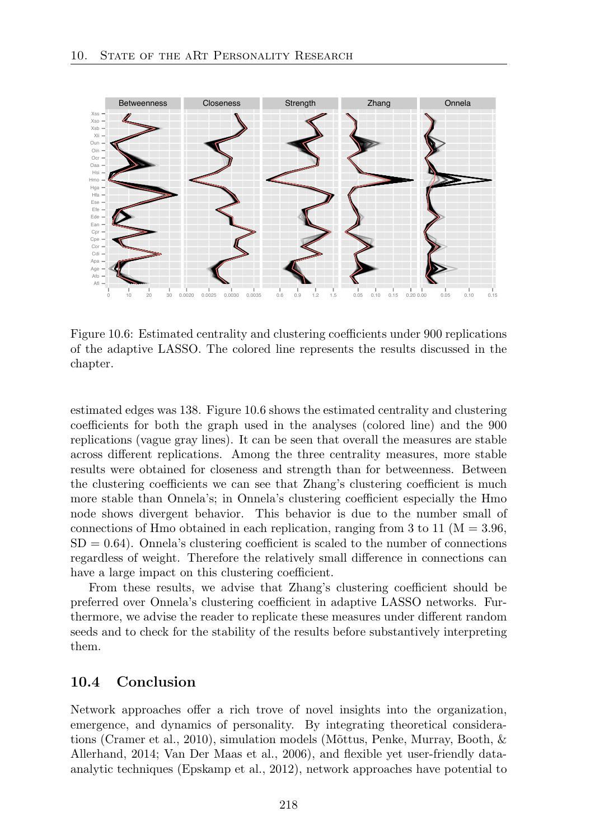

Figure 10.6: Estimated centrality and clustering coefficients under 900 replications of the adaptive LASSO. The colored line represents the results discussed in the chapter.

estimated edges was 138. Figure 10.6 shows the estimated centrality and clustering coefficients for both the graph used in the analyses (colored line) and the 900 replications (vague gray lines). It can be seen that overall the measures are stable across different replications. Among the three centrality measures, more stable results were obtained for closeness and strength than for betweenness. Between the clustering coefficients we can see that Zhang's clustering coefficient is much more stable than Onnela's; in Onnela's clustering coefficient especially the Hmo node shows divergent behavior. This behavior is due to the number small of connections of Hmo obtained in each replication, ranging from 3 to 11 ( $M = 3.96$ ,  $SD = 0.64$ ). Onnela's clustering coefficient is scaled to the number of connections regardless of weight. Therefore the relatively small difference in connections can have a large impact on this clustering coefficient.

From these results, we advise that Zhang's clustering coefficient should be preferred over Onnela's clustering coefficient in adaptive LASSO networks. Furthermore, we advise the reader to replicate these measures under different random seeds and to check for the stability of the results before substantively interpreting them.

## 10.4 Conclusion

Network approaches offer a rich trove of novel insights into the organization, emergence, and dynamics of personality. By integrating theoretical considerations (Cramer et al., 2010), simulation models (Mõttus, Penke, Murray, Booth, & Allerhand, 2014; Van Der Maas et al., 2006), and flexible yet user-friendly dataanalytic techniques (Epskamp et al., 2012), network approaches have potential to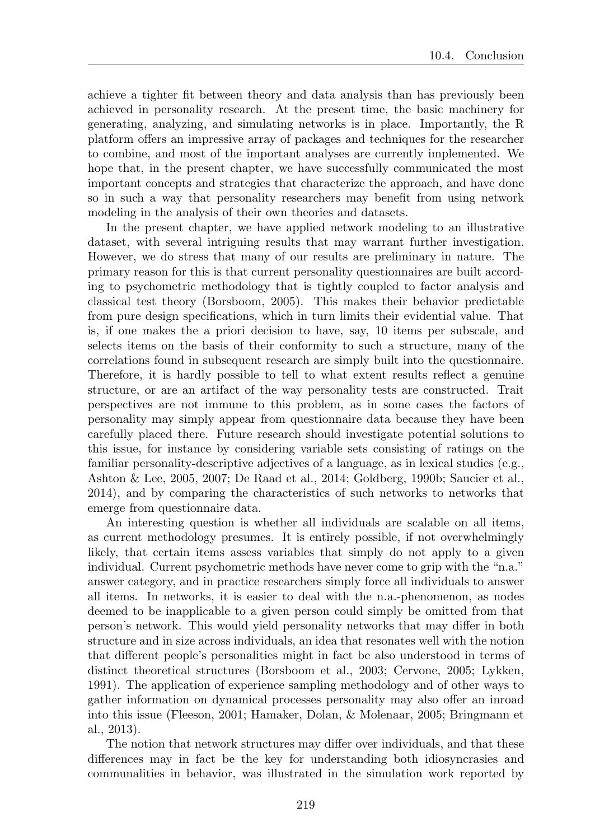achieve a tighter fit between theory and data analysis than has previously been achieved in personality research. At the present time, the basic machinery for generating, analyzing, and simulating networks is in place. Importantly, the R platform offers an impressive array of packages and techniques for the researcher to combine, and most of the important analyses are currently implemented. We hope that, in the present chapter, we have successfully communicated the most important concepts and strategies that characterize the approach, and have done so in such a way that personality researchers may benefit from using network modeling in the analysis of their own theories and datasets.

In the present chapter, we have applied network modeling to an illustrative dataset, with several intriguing results that may warrant further investigation. However, we do stress that many of our results are preliminary in nature. The primary reason for this is that current personality questionnaires are built according to psychometric methodology that is tightly coupled to factor analysis and classical test theory (Borsboom, 2005). This makes their behavior predictable from pure design specifications, which in turn limits their evidential value. That is, if one makes the a priori decision to have, say, 10 items per subscale, and selects items on the basis of their conformity to such a structure, many of the correlations found in subsequent research are simply built into the questionnaire. Therefore, it is hardly possible to tell to what extent results reflect a genuine structure, or are an artifact of the way personality tests are constructed. Trait perspectives are not immune to this problem, as in some cases the factors of personality may simply appear from questionnaire data because they have been carefully placed there. Future research should investigate potential solutions to this issue, for instance by considering variable sets consisting of ratings on the familiar personality-descriptive adjectives of a language, as in lexical studies (e.g., Ashton & Lee, 2005, 2007; De Raad et al., 2014; Goldberg, 1990b; Saucier et al., 2014), and by comparing the characteristics of such networks to networks that emerge from questionnaire data.

An interesting question is whether all individuals are scalable on all items, as current methodology presumes. It is entirely possible, if not overwhelmingly likely, that certain items assess variables that simply do not apply to a given individual. Current psychometric methods have never come to grip with the "n.a." answer category, and in practice researchers simply force all individuals to answer all items. In networks, it is easier to deal with the n.a.-phenomenon, as nodes deemed to be inapplicable to a given person could simply be omitted from that person's network. This would yield personality networks that may differ in both structure and in size across individuals, an idea that resonates well with the notion that different people's personalities might in fact be also understood in terms of distinct theoretical structures (Borsboom et al., 2003; Cervone, 2005; Lykken, 1991). The application of experience sampling methodology and of other ways to gather information on dynamical processes personality may also offer an inroad into this issue (Fleeson, 2001; Hamaker, Dolan, & Molenaar, 2005; Bringmann et al., 2013).

The notion that network structures may differ over individuals, and that these differences may in fact be the key for understanding both idiosyncrasies and communalities in behavior, was illustrated in the simulation work reported by